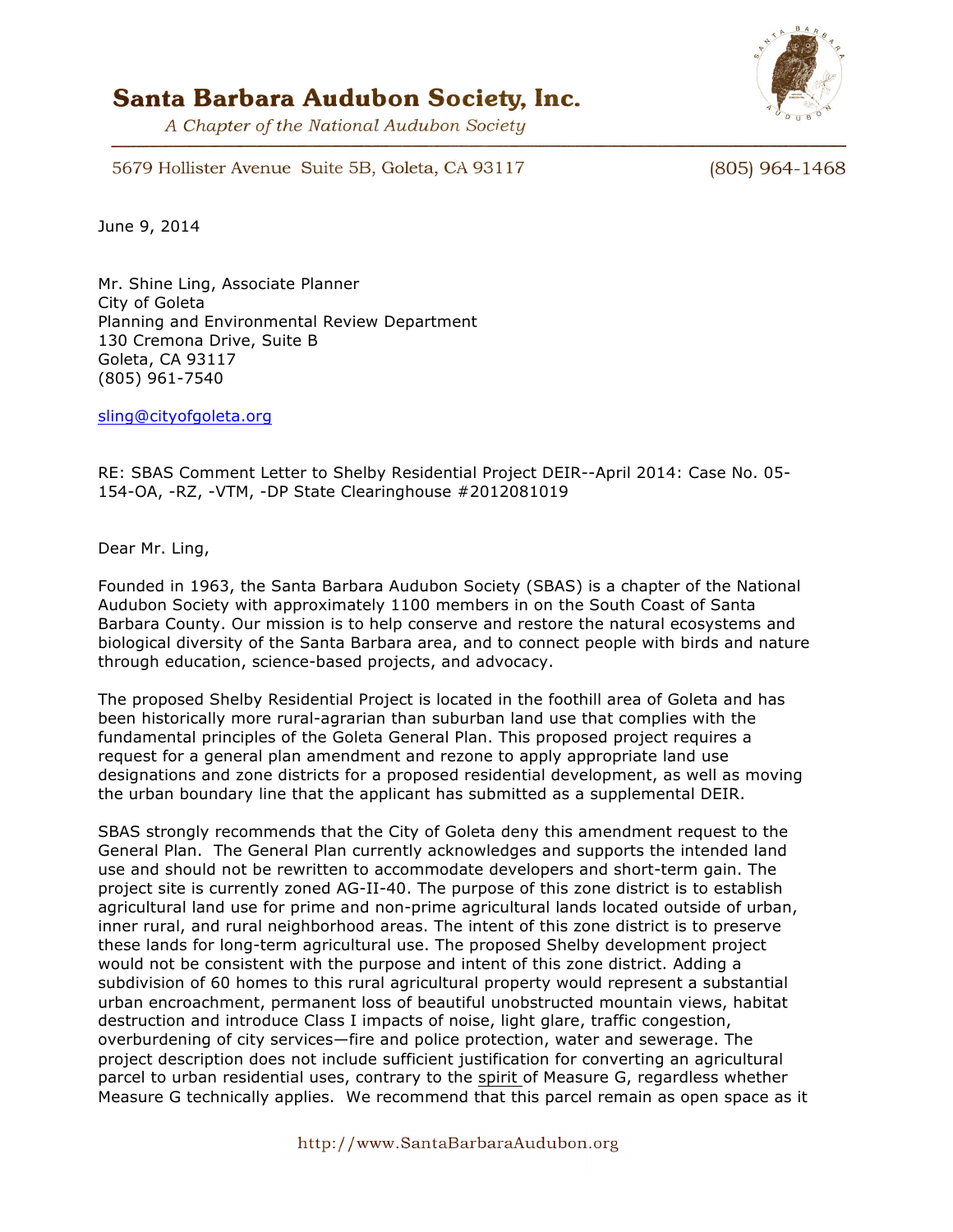## Santa Barbara Audubon Society, Inc.

A Chapter of the National Audubon Society



5679 Hollister Avenue Suite 5B, Goleta, CA 93117

(805) 964-1468

June 9, 2014

Mr. Shine Ling, Associate Planner City of Goleta Planning and Environmental Review Department 130 Cremona Drive, Suite B Goleta, CA 93117 (805) 961-7540

sling@cityofgoleta.org

RE: SBAS Comment Letter to Shelby Residential Project DEIR--April 2014: Case No. 05- 154-OA, -RZ, -VTM, -DP State Clearinghouse #2012081019

Dear Mr. Ling,

Founded in 1963, the Santa Barbara Audubon Society (SBAS) is a chapter of the National Audubon Society with approximately 1100 members in on the South Coast of Santa Barbara County. Our mission is to help conserve and restore the natural ecosystems and biological diversity of the Santa Barbara area, and to connect people with birds and nature through education, science-based projects, and advocacy.

The proposed Shelby Residential Project is located in the foothill area of Goleta and has been historically more rural-agrarian than suburban land use that complies with the fundamental principles of the Goleta General Plan. This proposed project requires a request for a general plan amendment and rezone to apply appropriate land use designations and zone districts for a proposed residential development, as well as moving the urban boundary line that the applicant has submitted as a supplemental DEIR.

SBAS strongly recommends that the City of Goleta deny this amendment request to the General Plan. The General Plan currently acknowledges and supports the intended land use and should not be rewritten to accommodate developers and short-term gain. The project site is currently zoned AG-II-40. The purpose of this zone district is to establish agricultural land use for prime and non-prime agricultural lands located outside of urban, inner rural, and rural neighborhood areas. The intent of this zone district is to preserve these lands for long-term agricultural use. The proposed Shelby development project would not be consistent with the purpose and intent of this zone district. Adding a subdivision of 60 homes to this rural agricultural property would represent a substantial urban encroachment, permanent loss of beautiful unobstructed mountain views, habitat destruction and introduce Class I impacts of noise, light glare, traffic congestion, overburdening of city services—fire and police protection, water and sewerage. The project description does not include sufficient justification for converting an agricultural parcel to urban residential uses, contrary to the spirit of Measure G, regardless whether Measure G technically applies. We recommend that this parcel remain as open space as it